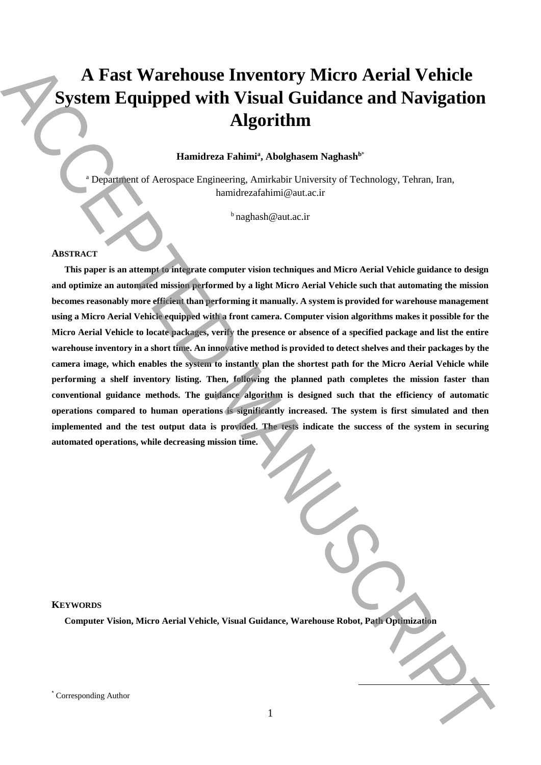# **A Fast Warehouse Inventory Micro Aerial Vehicle System Equipped with Visual Guidance and Navigation Algorithm**

## **Hamidreza Fahimi<sup>a</sup> , Abolghasem Naghash<sup>b</sup>**\*

<sup>a</sup> Department of Aerospace Engineering, Amirkabir University of Technology, Tehran, Iran, hamidrezafahimi@aut.ac.ir

 $<sup>b</sup>$ naghash@aut.ac.ir</sup>

## **ABSTRACT**

**This paper is an attempt to integrate computer vision techniques and Micro Aerial Vehicle guidance to design and optimize an automated mission performed by a light Micro Aerial Vehicle such that automating the mission becomes reasonably more efficient than performing it manually. A system is provided for warehouse management using a Micro Aerial Vehicle equipped with a front camera. Computer vision algorithms makes it possible for the Micro Aerial Vehicle to locate packages, verify the presence or absence of a specified package and list the entire warehouse inventory in a short time. An innovative method is provided to detect shelves and their packages by the camera image, which enables the system to instantly plan the shortest path for the Micro Aerial Vehicle while performing a shelf inventory listing. Then, following the planned path completes the mission faster than conventional guidance methods. The guidance algorithm is designed such that the efficiency of automatic operations compared to human operations is significantly increased. The system is first simulated and then implemented and the test output data is provided. The tests indicate the success of the system in securing automated operations, while decreasing mission time.** A Fast Warehouse Inventory Micro Aerial Vehicle<br>
System Equipped with Visual Guidance and Navigation<br>
Algorithm<br>
Algorithm<br>
And Corresponding American Family Authorities interaction of Technology, Telesco, Jen.<br>
1978.<br>
Th

## **KEYWORDS**

**Computer Vision, Micro Aerial Vehicle, Visual Guidance, Warehouse Robot, Path Optimization**

 $\overline{\phantom{a}}$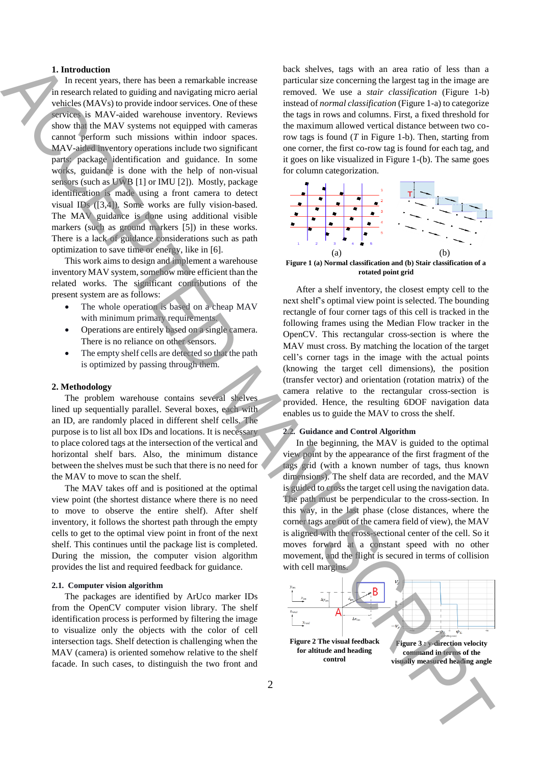#### **1. Introduction**

In recent years, there has been a remarkable increase in research related to guiding and navigating micro aerial vehicles (MAVs) to provide indoor services. One of these services is MAV-aided warehouse inventory. Reviews show that the MAV systems not equipped with cameras cannot perform such missions within indoor spaces. MAV-aided inventory operations include two significant parts: package identification and guidance. In some works, guidance is done with the help of non-visual sensors (such as UWB [1] or IMU [2]). Mostly, package identification is made using a front camera to detect visual IDs ([3,4]). Some works are fully vision-based. The MAV guidance is done using additional visible markers (such as ground markers [5]) in these works. There is a lack of guidance considerations such as path optimization to save time or energy, like in [6]. **1.** Interesting the main term into the street of the street of the street of the street of the street of the street of the street of the street of the street of the street of the street of the street of the street of the

This work aims to design and implement a warehouse inventory MAV system, somehow more efficient than the related works. The significant contributions of the present system are as follows:

- The whole operation is based on a cheap MAV with minimum primary requirements.
- Operations are entirely based on a single camera. There is no reliance on other sensors.
- The empty shelf cells are detected so that the path is optimized by passing through them.

#### **2. Methodology**

The problem warehouse contains several shelves lined up sequentially parallel. Several boxes, each with an ID, are randomly placed in different shelf cells. The purpose is to list all box IDs and locations. It is necessary to place colored tags at the intersection of the vertical and horizontal shelf bars. Also, the minimum distance between the shelves must be such that there is no need for the MAV to move to scan the shelf.

The MAV takes off and is positioned at the optimal view point (the shortest distance where there is no need to move to observe the entire shelf). After shelf inventory, it follows the shortest path through the empty cells to get to the optimal view point in front of the next shelf. This continues until the package list is completed. During the mission, the computer vision algorithm provides the list and required feedback for guidance.

#### **2.1. Computer vision algorithm**

The packages are identified by ArUco marker IDs from the OpenCV computer vision library. The shelf identification process is performed by filtering the image to visualize only the objects with the color of cell intersection tags. Shelf detection is challenging when the MAV (camera) is oriented somehow relative to the shelf facade. In such cases, to distinguish the two front and

back shelves, tags with an area ratio of less than a particular size concerning the largest tag in the image are removed. We use a *stair classification* (Figure 1-b) instead of *normal classification* (Figure 1-a) to categorize the tags in rows and columns. First, a fixed threshold for the maximum allowed vertical distance between two corow tags is found (*T* in Figure 1-b). Then, starting from one corner, the first co-row tag is found for each tag, and it goes on like visualized in Figure 1-(b). The same goes for column categorization.



<span id="page-1-0"></span>**Figure 1 (a) Normal classification and (b) Stair classification of a rotated point grid**

After a shelf inventory, the closest empty cell to the next shelf's optimal view point is selected. The bounding rectangle of four corner tags of this cell is tracked in the following frames using the Median Flow tracker in the OpenCV. This rectangular cross-section is where the MAV must cross. By matching the location of the target cell's corner tags in the image with the actual points (knowing the target cell dimensions), the position (transfer vector) and orientation (rotation matrix) of the camera relative to the rectangular cross-section is provided. Hence, the resulting 6DOF navigation data enables us to guide the MAV to cross the shelf.

## **2.2. Guidance and Control Algorithm**

In the beginning, the MAV is guided to the optimal view point by the appearance of the first fragment of the tags grid (with a known number of tags, thus known dimensions). The shelf data are recorded, and the MAV is guided to cross the target cell using the navigation data. The path must be perpendicular to the cross-section. In this way, in the last phase (close distances, where the corner tags are out of the camera field of view), the MAV is aligned with the cross-sectional center of the cell. So it moves forward at a constant speed with no other movement, and the flight is secured in terms of collision with cell margins.

<span id="page-1-2"></span><span id="page-1-1"></span>